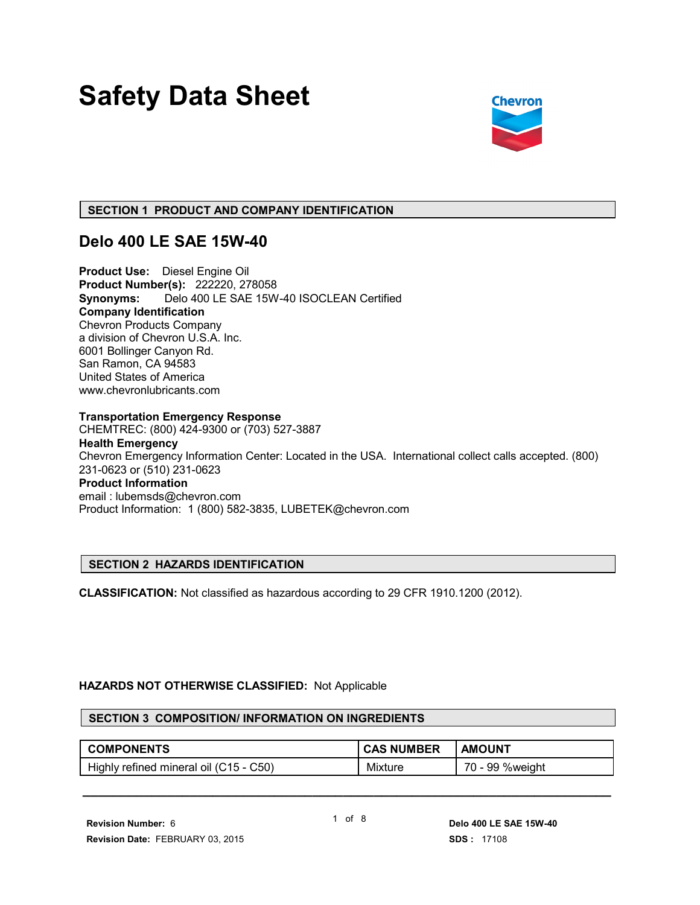# **Safety Data Sheet**



### **SECTION 1 PRODUCT AND COMPANY IDENTIFICATION**

## **Delo 400 LE SAE 15W-40**

**Product Use:** Diesel Engine Oil **Product Number(s):** 222220, 278058 **Synonyms:** Delo 400 LE SAE 15W-40 ISOCLEAN Certified **Company Identification** Chevron Products Company a division of Chevron U.S.A. Inc. 6001 Bollinger Canyon Rd. San Ramon, CA 94583 United States of America www.chevronlubricants.com

**Transportation Emergency Response** CHEMTREC: (800) 424-9300 or (703) 527-3887 **Health Emergency** Chevron Emergency Information Center: Located in the USA. International collect calls accepted. (800) 231-0623 or (510) 231-0623 **Product Information** email : lubemsds@chevron.com Product Information: 1 (800) 582-3835, LUBETEK@chevron.com

#### **SECTION 2 HAZARDS IDENTIFICATION**

**CLASSIFICATION:** Not classified as hazardous according to 29 CFR 1910.1200 (2012).

#### **HAZARDS NOT OTHERWISE CLASSIFIED:** Not Applicable

#### **SECTION 3 COMPOSITION/ INFORMATION ON INGREDIENTS**

| <b>COMPONENTS</b>                      | <b>CAS NUMBER</b> | <b>AMOUNT</b>   |
|----------------------------------------|-------------------|-----------------|
| Highly refined mineral oil (C15 - C50) | Mixture           | 70 - 99 %weight |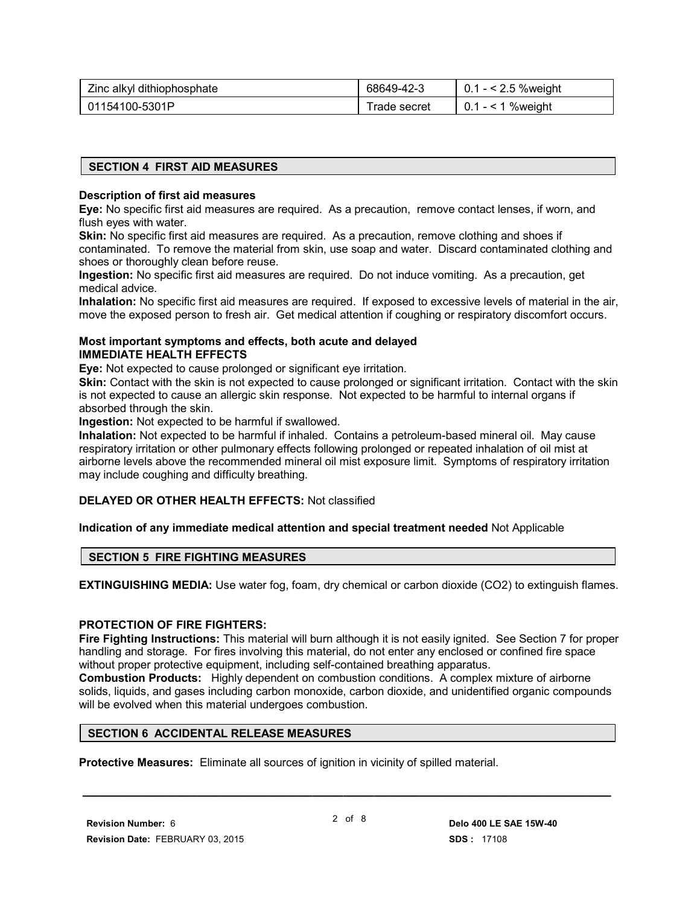| Zinc alkyl dithiophosphate | 68649-42-3    | $0.1 - 2.5$ % weight |
|----------------------------|---------------|----------------------|
| 01154100-5301P             | l rade secret | $0.1 - 1$ % weight   |

#### **SECTION 4 FIRST AID MEASURES**

#### **Description of first aid measures**

**Eye:** No specific first aid measures are required. As a precaution, remove contact lenses, if worn, and flush eyes with water.

**Skin:** No specific first aid measures are required. As a precaution, remove clothing and shoes if contaminated. To remove the material from skin, use soap and water. Discard contaminated clothing and shoes or thoroughly clean before reuse.

**Ingestion:** No specific first aid measures are required. Do not induce vomiting. As a precaution, get medical advice.

**Inhalation:** No specific first aid measures are required. If exposed to excessive levels of material in the air, move the exposed person to fresh air. Get medical attention if coughing or respiratory discomfort occurs.

#### **Most important symptoms and effects, both acute and delayed IMMEDIATE HEALTH EFFECTS**

**Eye:** Not expected to cause prolonged or significant eye irritation.

**Skin:** Contact with the skin is not expected to cause prolonged or significant irritation. Contact with the skin is not expected to cause an allergic skin response. Not expected to be harmful to internal organs if absorbed through the skin.

**Ingestion:** Not expected to be harmful if swallowed.

**Inhalation:** Not expected to be harmful if inhaled. Contains a petroleum-based mineral oil. May cause respiratory irritation or other pulmonary effects following prolonged or repeated inhalation of oil mist at airborne levels above the recommended mineral oil mist exposure limit. Symptoms of respiratory irritation may include coughing and difficulty breathing.

#### **DELAYED OR OTHER HEALTH EFFECTS:** Not classified

#### **Indication of any immediate medical attention and special treatment needed** Not Applicable

#### **SECTION 5 FIRE FIGHTING MEASURES**

**EXTINGUISHING MEDIA:** Use water fog, foam, dry chemical or carbon dioxide (CO2) to extinguish flames.

#### **PROTECTION OF FIRE FIGHTERS:**

**Fire Fighting Instructions:** This material will burn although it is not easily ignited. See Section 7 for proper handling and storage. For fires involving this material, do not enter any enclosed or confined fire space without proper protective equipment, including self-contained breathing apparatus.

**Combustion Products:** Highly dependent on combustion conditions. A complex mixture of airborne solids, liquids, and gases including carbon monoxide, carbon dioxide, and unidentified organic compounds will be evolved when this material undergoes combustion.

#### **SECTION 6 ACCIDENTAL RELEASE MEASURES**

**Protective Measures:** Eliminate all sources of ignition in vicinity of spilled material.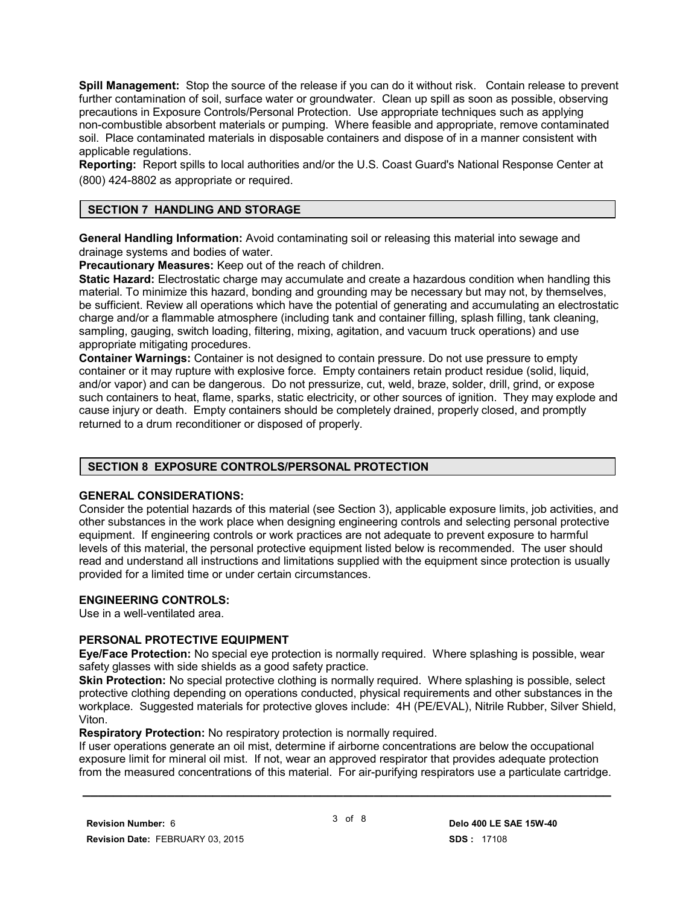**Spill Management:** Stop the source of the release if you can do it without risk. Contain release to prevent further contamination of soil, surface water or groundwater. Clean up spill as soon as possible, observing precautions in Exposure Controls/Personal Protection. Use appropriate techniques such as applying non-combustible absorbent materials or pumping. Where feasible and appropriate, remove contaminated soil. Place contaminated materials in disposable containers and dispose of in a manner consistent with applicable regulations.

**Reporting:** Report spills to local authorities and/or the U.S. Coast Guard's National Response Center at (800) 424-8802 as appropriate or required.

#### **SECTION 7 HANDLING AND STORAGE**

**General Handling Information:** Avoid contaminating soil or releasing this material into sewage and drainage systems and bodies of water.

**Precautionary Measures:** Keep out of the reach of children.

**Static Hazard:** Electrostatic charge may accumulate and create a hazardous condition when handling this material. To minimize this hazard, bonding and grounding may be necessary but may not, by themselves, be sufficient. Review all operations which have the potential of generating and accumulating an electrostatic charge and/or a flammable atmosphere (including tank and container filling, splash filling, tank cleaning, sampling, gauging, switch loading, filtering, mixing, agitation, and vacuum truck operations) and use appropriate mitigating procedures.

**Container Warnings:** Container is not designed to contain pressure. Do not use pressure to empty container or it may rupture with explosive force. Empty containers retain product residue (solid, liquid, and/or vapor) and can be dangerous. Do not pressurize, cut, weld, braze, solder, drill, grind, or expose such containers to heat, flame, sparks, static electricity, or other sources of ignition. They may explode and cause injury or death. Empty containers should be completely drained, properly closed, and promptly returned to a drum reconditioner or disposed of properly.

#### **SECTION 8 EXPOSURE CONTROLS/PERSONAL PROTECTION**

#### **GENERAL CONSIDERATIONS:**

Consider the potential hazards of this material (see Section 3), applicable exposure limits, job activities, and other substances in the work place when designing engineering controls and selecting personal protective equipment. If engineering controls or work practices are not adequate to prevent exposure to harmful levels of this material, the personal protective equipment listed below is recommended. The user should read and understand all instructions and limitations supplied with the equipment since protection is usually provided for a limited time or under certain circumstances.

#### **ENGINEERING CONTROLS:**

Use in a well-ventilated area.

#### **PERSONAL PROTECTIVE EQUIPMENT**

**Eye/Face Protection:** No special eye protection is normally required. Where splashing is possible, wear safety glasses with side shields as a good safety practice.

**Skin Protection:** No special protective clothing is normally required. Where splashing is possible, select protective clothing depending on operations conducted, physical requirements and other substances in the workplace. Suggested materials for protective gloves include: 4H (PE/EVAL), Nitrile Rubber, Silver Shield, Viton.

#### **Respiratory Protection:** No respiratory protection is normally required.

If user operations generate an oil mist, determine if airborne concentrations are below the occupational exposure limit for mineral oil mist. If not, wear an approved respirator that provides adequate protection from the measured concentrations of this material. For air-purifying respirators use a particulate cartridge.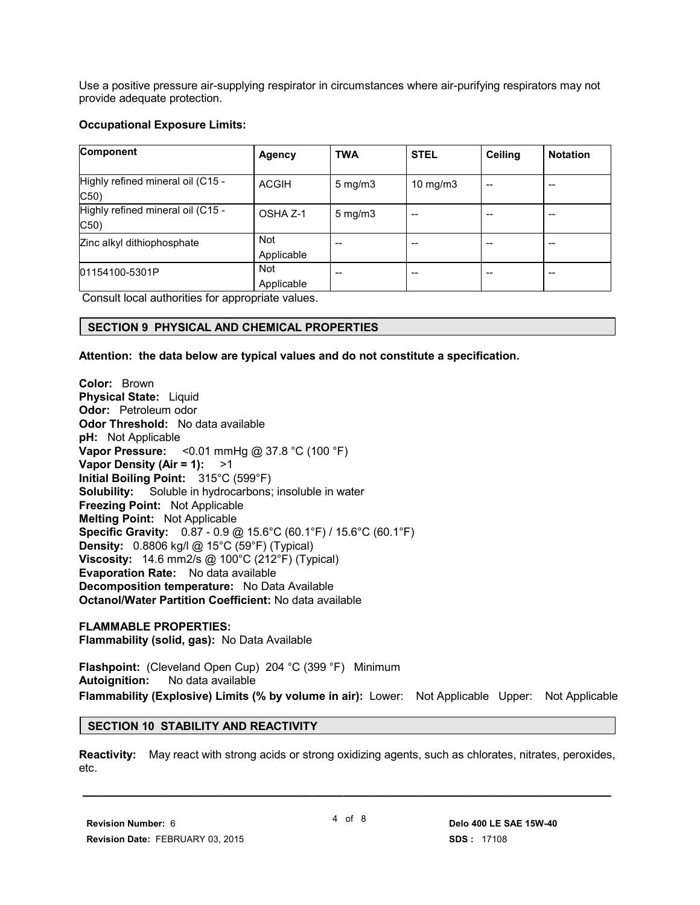Use a positive pressure air-supplying respirator in circumstances where air-purifying respirators may not provide adequate protection.

#### **Occupational Exposure Limits:**

| <b>Component</b>                          | <b>Agency</b>            | <b>TWA</b>          | <b>STEL</b> | <b>Ceiling</b> | <b>Notation</b> |
|-------------------------------------------|--------------------------|---------------------|-------------|----------------|-----------------|
| Highly refined mineral oil (C15 -<br>C50) | <b>ACGIH</b>             | $5 \text{ mg/m}$    | 10 $mg/m3$  | --             | --              |
| Highly refined mineral oil (C15 -<br>C50) | OSHA Z-1                 | $5 \,\mathrm{mg/m}$ | --          | --             | --              |
| Zinc alkyl dithiophosphate                | <b>Not</b><br>Applicable | --                  |             |                |                 |
| 01154100-5301P                            | <b>Not</b><br>Applicable | --                  | --          | --             | --              |

Consult local authorities for appropriate values.

#### **SECTION 9 PHYSICAL AND CHEMICAL PROPERTIES**

**Attention: the data below are typical values and do not constitute a specification.**

**Color:** Brown **Physical State:** Liquid **Odor:** Petroleum odor **Odor Threshold:** No data available **pH:** Not Applicable **Vapor Pressure:** <0.01 mmHg @ 37.8 °C (100 °F) **Vapor Density (Air = 1):** >1 **Initial Boiling Point:** 315°C (599°F) **Solubility:** Soluble in hydrocarbons; insoluble in water **Freezing Point:** Not Applicable **Melting Point:** Not Applicable **Specific Gravity:** 0.87 - 0.9 @ 15.6°C (60.1°F) / 15.6°C (60.1°F) **Density:** 0.8806 kg/l @ 15°C (59°F) (Typical) **Viscosity:** 14.6 mm2/s @ 100°C (212°F) (Typical) **Evaporation Rate:** No data available **Decomposition temperature:** No Data Available **Octanol/Water Partition Coefficient:** No data available

**FLAMMABLE PROPERTIES: Flammability (solid, gas):** No Data Available

**Flashpoint:** (Cleveland Open Cup) 204 °C (399 °F) Minimum **Autoignition:** No data available **Flammability (Explosive) Limits (% by volume in air):** Lower: Not Applicable Upper: Not Applicable

#### **SECTION 10 STABILITY AND REACTIVITY**

**Reactivity:** May react with strong acids or strong oxidizing agents, such as chlorates, nitrates, peroxides, etc.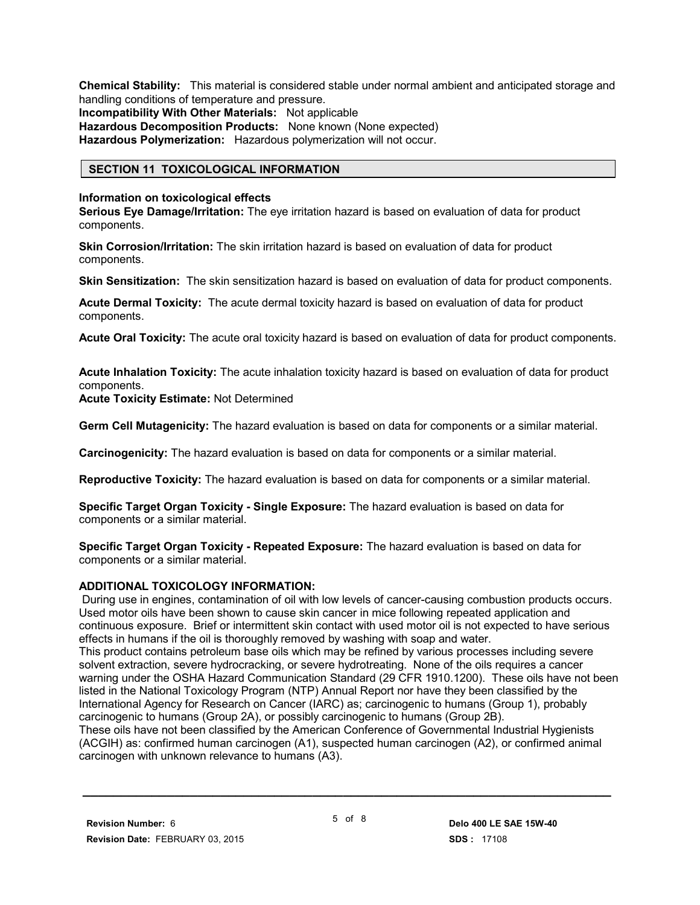**Chemical Stability:** This material is considered stable under normal ambient and anticipated storage and handling conditions of temperature and pressure. **Incompatibility With Other Materials:** Not applicable **Hazardous Decomposition Products:** None known (None expected) **Hazardous Polymerization:** Hazardous polymerization will not occur.

#### **SECTION 11 TOXICOLOGICAL INFORMATION**

#### **Information on toxicological effects**

**Serious Eye Damage/Irritation:** The eye irritation hazard is based on evaluation of data for product components.

**Skin Corrosion/Irritation:** The skin irritation hazard is based on evaluation of data for product components.

**Skin Sensitization:** The skin sensitization hazard is based on evaluation of data for product components.

**Acute Dermal Toxicity:** The acute dermal toxicity hazard is based on evaluation of data for product components.

**Acute Oral Toxicity:** The acute oral toxicity hazard is based on evaluation of data for product components.

**Acute Inhalation Toxicity:** The acute inhalation toxicity hazard is based on evaluation of data for product components.

**Acute Toxicity Estimate:** Not Determined

**Germ Cell Mutagenicity:** The hazard evaluation is based on data for components or a similar material.

**Carcinogenicity:** The hazard evaluation is based on data for components or a similar material.

**Reproductive Toxicity:** The hazard evaluation is based on data for components or a similar material.

**Specific Target Organ Toxicity - Single Exposure:** The hazard evaluation is based on data for components or a similar material.

**Specific Target Organ Toxicity - Repeated Exposure:** The hazard evaluation is based on data for components or a similar material.

#### **ADDITIONAL TOXICOLOGY INFORMATION:**

 During use in engines, contamination of oil with low levels of cancer-causing combustion products occurs. Used motor oils have been shown to cause skin cancer in mice following repeated application and continuous exposure. Brief or intermittent skin contact with used motor oil is not expected to have serious effects in humans if the oil is thoroughly removed by washing with soap and water. This product contains petroleum base oils which may be refined by various processes including severe solvent extraction, severe hydrocracking, or severe hydrotreating. None of the oils requires a cancer warning under the OSHA Hazard Communication Standard (29 CFR 1910.1200). These oils have not been listed in the National Toxicology Program (NTP) Annual Report nor have they been classified by the International Agency for Research on Cancer (IARC) as; carcinogenic to humans (Group 1), probably carcinogenic to humans (Group 2A), or possibly carcinogenic to humans (Group 2B). These oils have not been classified by the American Conference of Governmental Industrial Hygienists (ACGIH) as: confirmed human carcinogen (A1), suspected human carcinogen (A2), or confirmed animal carcinogen with unknown relevance to humans (A3).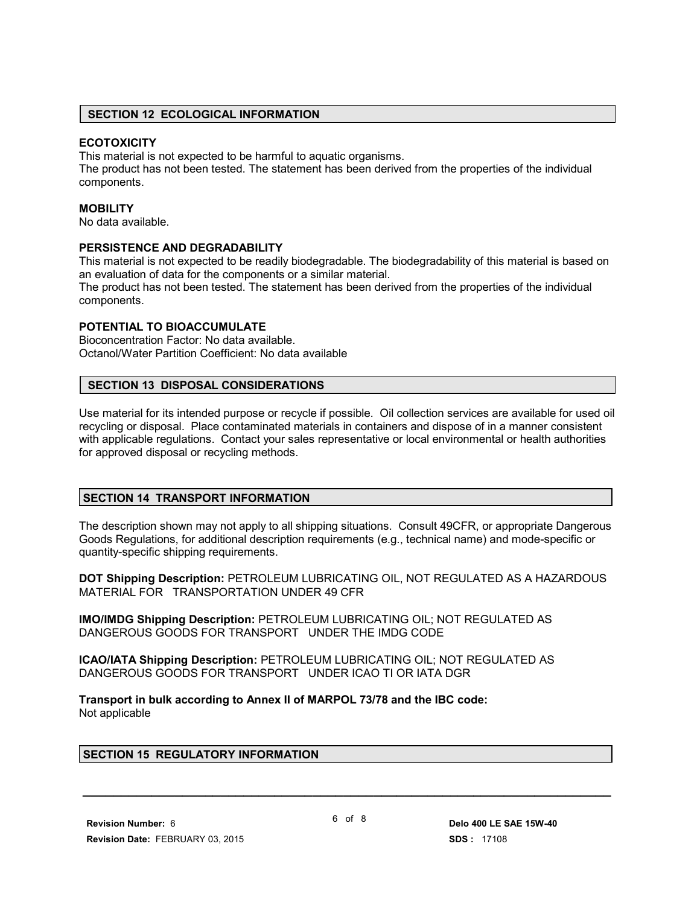#### **SECTION 12 ECOLOGICAL INFORMATION**

#### **ECOTOXICITY**

This material is not expected to be harmful to aquatic organisms.

The product has not been tested. The statement has been derived from the properties of the individual components.

#### **MOBILITY**

No data available.

#### **PERSISTENCE AND DEGRADABILITY**

This material is not expected to be readily biodegradable. The biodegradability of this material is based on an evaluation of data for the components or a similar material.

The product has not been tested. The statement has been derived from the properties of the individual components.

#### **POTENTIAL TO BIOACCUMULATE**

Bioconcentration Factor: No data available. Octanol/Water Partition Coefficient: No data available

#### **SECTION 13 DISPOSAL CONSIDERATIONS**

Use material for its intended purpose or recycle if possible. Oil collection services are available for used oil recycling or disposal. Place contaminated materials in containers and dispose of in a manner consistent with applicable regulations. Contact your sales representative or local environmental or health authorities for approved disposal or recycling methods.

#### **SECTION 14 TRANSPORT INFORMATION**

The description shown may not apply to all shipping situations. Consult 49CFR, or appropriate Dangerous Goods Regulations, for additional description requirements (e.g., technical name) and mode-specific or quantity-specific shipping requirements.

**DOT Shipping Description:** PETROLEUM LUBRICATING OIL, NOT REGULATED AS A HAZARDOUS MATERIAL FOR TRANSPORTATION UNDER 49 CFR

**IMO/IMDG Shipping Description:** PETROLEUM LUBRICATING OIL; NOT REGULATED AS DANGEROUS GOODS FOR TRANSPORT UNDER THE IMDG CODE

**ICAO/IATA Shipping Description:** PETROLEUM LUBRICATING OIL; NOT REGULATED AS DANGEROUS GOODS FOR TRANSPORT UNDER ICAO TI OR IATA DGR

**Transport in bulk according to Annex II of MARPOL 73/78 and the IBC code:** Not applicable

#### **SECTION 15 REGULATORY INFORMATION**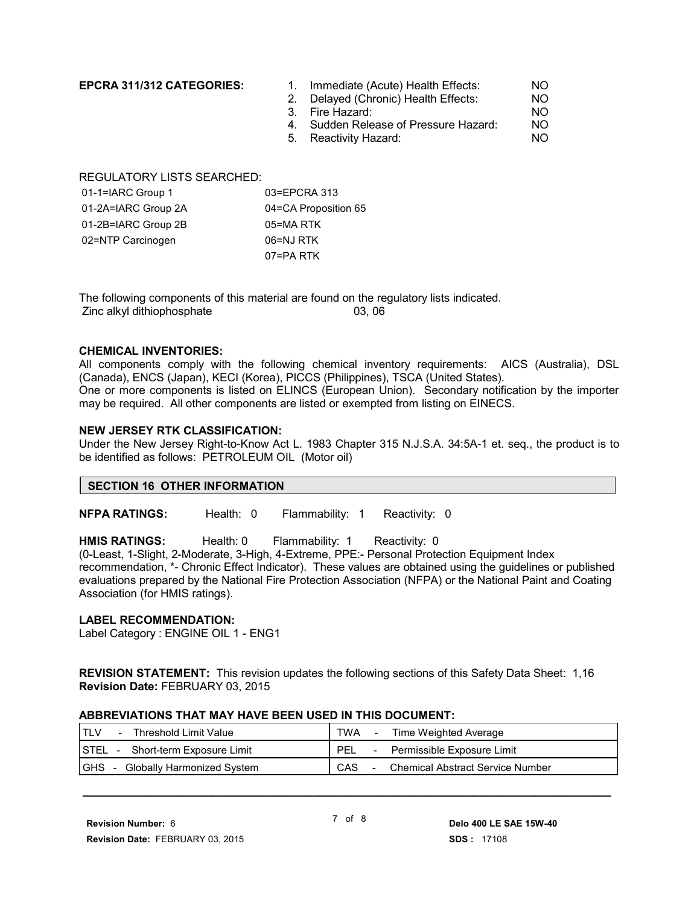- **EPCRA 311/312 CATEGORIES:** 1. Immediate (Acute) Health Effects: NO
	- 2. Delayed (Chronic) Health Effects: NO
	- 3. Fire Hazard: NO
	- 4. Sudden Release of Pressure Hazard: NO
	- 5. Reactivity Hazard: NO

REGULATORY LISTS SEARCHED:

| 01-1=IARC Group 1   | 03=EPCRA 313         |
|---------------------|----------------------|
| 01-2A=IARC Group 2A | 04=CA Proposition 65 |
| 01-2B=IARC Group 2B | 05=MA RTK            |
| 02=NTP Carcinogen   | 06=NJ RTK            |
|                     | 07=PA RTK            |

The following components of this material are found on the regulatory lists indicated. Zinc alkyl dithiophosphate 03, 06

#### **CHEMICAL INVENTORIES:**

All components comply with the following chemical inventory requirements: AICS (Australia), DSL (Canada), ENCS (Japan), KECI (Korea), PICCS (Philippines), TSCA (United States). One or more components is listed on ELINCS (European Union). Secondary notification by the importer may be required. All other components are listed or exempted from listing on EINECS.

#### **NEW JERSEY RTK CLASSIFICATION:**

Under the New Jersey Right-to-Know Act L. 1983 Chapter 315 N.J.S.A. 34:5A-1 et. seq., the product is to be identified as follows: PETROLEUM OIL (Motor oil)

#### **SECTION 16 OTHER INFORMATION**

**NFPA RATINGS:** Health: 0 Flammability: 1 Reactivity: 0

**HMIS RATINGS:** Health: 0 Flammability: 1 Reactivity: 0

(0-Least, 1-Slight, 2-Moderate, 3-High, 4-Extreme, PPE:- Personal Protection Equipment Index

recommendation, \*- Chronic Effect Indicator). These values are obtained using the guidelines or published evaluations prepared by the National Fire Protection Association (NFPA) or the National Paint and Coating Association (for HMIS ratings).

#### **LABEL RECOMMENDATION:**

Label Category : ENGINE OIL 1 - ENG1

**REVISION STATEMENT:** This revision updates the following sections of this Safety Data Sheet: 1,16 **Revision Date:** FEBRUARY 03, 2015

#### **ABBREVIATIONS THAT MAY HAVE BEEN USED IN THIS DOCUMENT:**

| Threshold Limit Value            | <b>TWA</b>                               |
|----------------------------------|------------------------------------------|
| $\sim$ $-$                       | Time Weighted Average                    |
| STEL - Short-term Exposure Limit | <b>PEL</b><br>Permissible Exposure Limit |
| <b>IGHS</b>                      | CAS                                      |
| - Globally Harmonized System     | <b>Chemical Abstract Service Number</b>  |